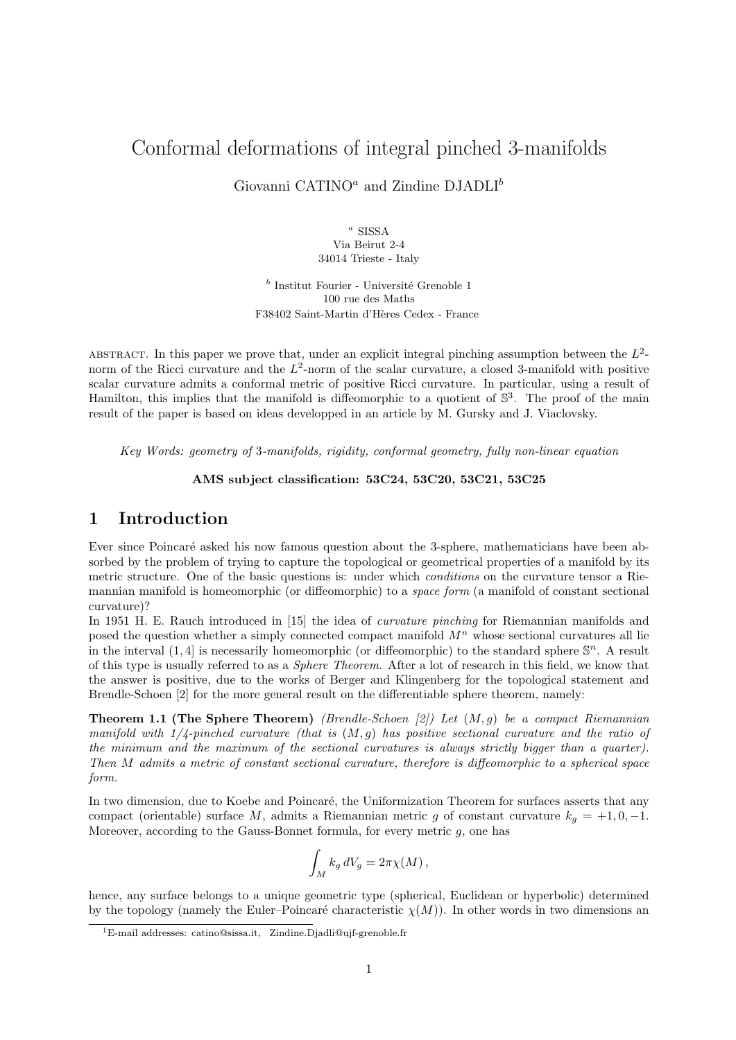# Conformal deformations of integral pinched 3-manifolds

Giovanni CATINO<sup> $a$ </sup> and Zindine DJADLI<sup> $b$ </sup>

<sup>a</sup> SISSA Via Beirut 2-4 34014 Trieste - Italy

 $\real^b$ Institut Fourier - Université Grenoble 1 100 rue des Maths F38402 Saint-Martin d'Hères Cedex - France

ABSTRACT. In this paper we prove that, under an explicit integral pinching assumption between the  $L^2$ norm of the Ricci curvature and the  $L^2$ -norm of the scalar curvature, a closed 3-manifold with positive scalar curvature admits a conformal metric of positive Ricci curvature. In particular, using a result of Hamilton, this implies that the manifold is diffeomorphic to a quotient of  $\mathbb{S}^3$ . The proof of the main result of the paper is based on ideas developped in an article by M. Gursky and J. Viaclovsky.

Key Words: geometry of 3-manifolds, rigidity, conformal geometry, fully non-linear equation

#### AMS subject classification: 53C24, 53C20, 53C21, 53C25

# 1 Introduction

Ever since Poincaré asked his now famous question about the 3-sphere, mathematicians have been absorbed by the problem of trying to capture the topological or geometrical properties of a manifold by its metric structure. One of the basic questions is: under which conditions on the curvature tensor a Riemannian manifold is homeomorphic (or diffeomorphic) to a space form (a manifold of constant sectional curvature)?

In 1951 H. E. Rauch introduced in [15] the idea of *curvature pinching* for Riemannian manifolds and posed the question whether a simply connected compact manifold  $M<sup>n</sup>$  whose sectional curvatures all lie in the interval  $(1, 4]$  is necessarily homeomorphic (or diffeomorphic) to the standard sphere  $\mathbb{S}^n$ . A result of this type is usually referred to as a Sphere Theorem. After a lot of research in this field, we know that the answer is positive, due to the works of Berger and Klingenberg for the topological statement and Brendle-Schoen [2] for the more general result on the differentiable sphere theorem, namely:

**Theorem 1.1 (The Sphere Theorem)** (Brendle-Schoen [2]) Let  $(M, g)$  be a compact Riemannian manifold with  $1/4$ -pinched curvature (that is  $(M, g)$ ) has positive sectional curvature and the ratio of the minimum and the maximum of the sectional curvatures is always strictly bigger than a quarter). Then M admits a metric of constant sectional curvature, therefore is diffeomorphic to a spherical space form.

In two dimension, due to Koebe and Poincaré, the Uniformization Theorem for surfaces asserts that any compact (orientable) surface M, admits a Riemannian metric g of constant curvature  $k_q = +1, 0, -1$ . Moreover, according to the Gauss-Bonnet formula, for every metric  $g$ , one has

$$
\int_M k_g dV_g = 2\pi \chi(M) ,
$$

hence, any surface belongs to a unique geometric type (spherical, Euclidean or hyperbolic) determined by the topology (namely the Euler–Poincaré characteristic  $\chi(M)$ ). In other words in two dimensions an

<sup>1</sup>E-mail addresses: catino@sissa.it, Zindine.Djadli@ujf-grenoble.fr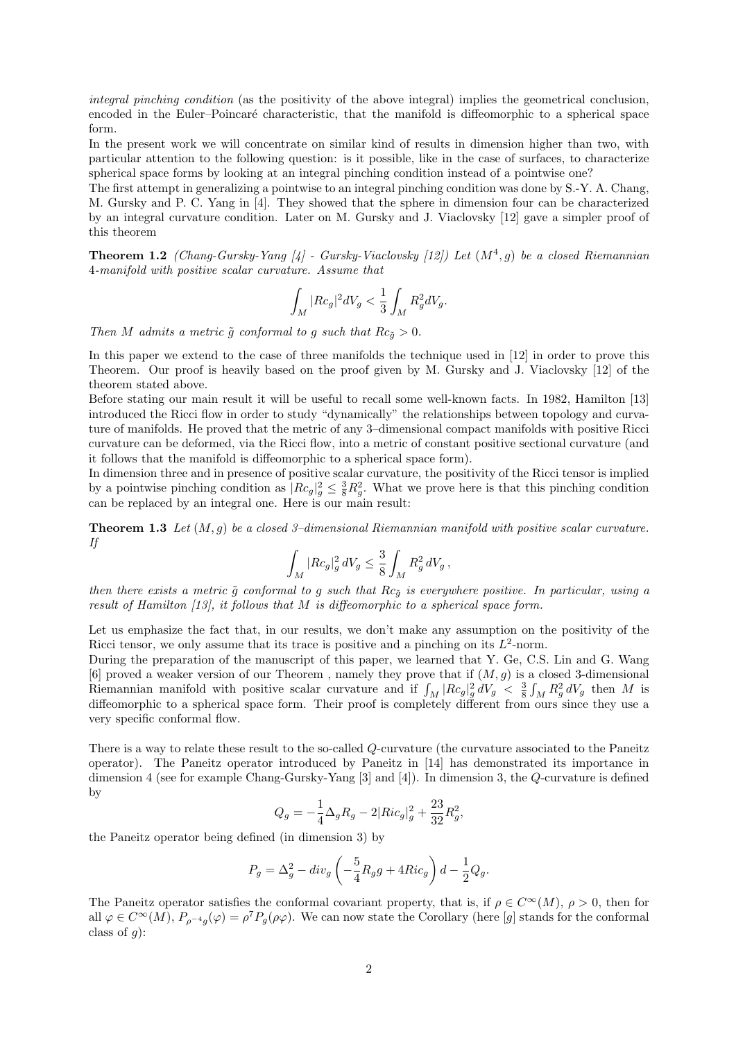integral pinching condition (as the positivity of the above integral) implies the geometrical conclusion, encoded in the Euler–Poincaré characteristic, that the manifold is diffeomorphic to a spherical space form.

In the present work we will concentrate on similar kind of results in dimension higher than two, with particular attention to the following question: is it possible, like in the case of surfaces, to characterize spherical space forms by looking at an integral pinching condition instead of a pointwise one?

The first attempt in generalizing a pointwise to an integral pinching condition was done by S.-Y. A. Chang, M. Gursky and P. C. Yang in [4]. They showed that the sphere in dimension four can be characterized by an integral curvature condition. Later on M. Gursky and J. Viaclovsky [12] gave a simpler proof of this theorem

**Theorem 1.2** (Chang-Gursky-Yang [4] - Gursky-Viaclovsky [12]) Let  $(M^4, g)$  be a closed Riemannian 4-manifold with positive scalar curvature. Assume that

$$
\int_M |Rc_g|^2 dV_g < \frac{1}{3} \int_M R_g^2 dV_g.
$$

Then M admits a metric  $\tilde{g}$  conformal to g such that  $Rc_{\tilde{g}} > 0$ .

In this paper we extend to the case of three manifolds the technique used in [12] in order to prove this Theorem. Our proof is heavily based on the proof given by M. Gursky and J. Viaclovsky [12] of the theorem stated above.

Before stating our main result it will be useful to recall some well-known facts. In 1982, Hamilton [13] introduced the Ricci flow in order to study "dynamically" the relationships between topology and curvature of manifolds. He proved that the metric of any 3–dimensional compact manifolds with positive Ricci curvature can be deformed, via the Ricci flow, into a metric of constant positive sectional curvature (and it follows that the manifold is diffeomorphic to a spherical space form).

In dimension three and in presence of positive scalar curvature, the positivity of the Ricci tensor is implied by a pointwise pinching condition as  $|Rc_g|^2 \leq \frac{3}{8}R_g^2$ . What we prove here is that this pinching condition can be replaced by an integral one. Here is our main result:

**Theorem 1.3** Let  $(M, q)$  be a closed 3-dimensional Riemannian manifold with positive scalar curvature. If

$$
\int_M |Rc_g|_g^2 \, dV_g \leq \frac{3}{8} \int_M R_g^2 \, dV_g \, ,
$$

then there exists a metric  $\tilde{g}$  conformal to g such that  $Rc_{\tilde{g}}$  is everywhere positive. In particular, using a result of Hamilton  $[13]$ , it follows that M is diffeomorphic to a spherical space form.

Let us emphasize the fact that, in our results, we don't make any assumption on the positivity of the Ricci tensor, we only assume that its trace is positive and a pinching on its  $L^2$ -norm.

During the preparation of the manuscript of this paper, we learned that Y. Ge, C.S. Lin and G. Wang [6] proved a weaker version of our Theorem , namely they prove that if  $(M, g)$  is a closed 3-dimensional Riemannian manifold with positive scalar curvature and if  $\int_M |Rc_g|^2 g dV_g < \frac{3}{8} \int_M R_g^2 dV_g$  then M is diffeomorphic to a spherical space form. Their proof is completely different from ours since they use a very specific conformal flow.

There is a way to relate these result to the so-called Q-curvature (the curvature associated to the Paneitz operator). The Paneitz operator introduced by Paneitz in [14] has demonstrated its importance in dimension 4 (see for example Chang-Gursky-Yang [3] and [4]). In dimension 3, the Q-curvature is defined by

$$
Q_g = -\frac{1}{4}\Delta_g R_g - 2|Ric_g|_g^2 + \frac{23}{32}R_g^2,
$$

the Paneitz operator being defined (in dimension 3) by

$$
P_g = \Delta_g^2 - div_g \left( -\frac{5}{4} R_g g + 4Ric_g \right) d - \frac{1}{2} Q_g.
$$

The Paneitz operator satisfies the conformal covariant property, that is, if  $\rho \in C^{\infty}(M)$ ,  $\rho > 0$ , then for all  $\varphi \in C^{\infty}(M)$ ,  $P_{\rho^{-4}g}(\varphi) = \rho^{7}P_{g}(\rho\varphi)$ . We can now state the Corollary (here [g] stands for the conformal class of  $q$ :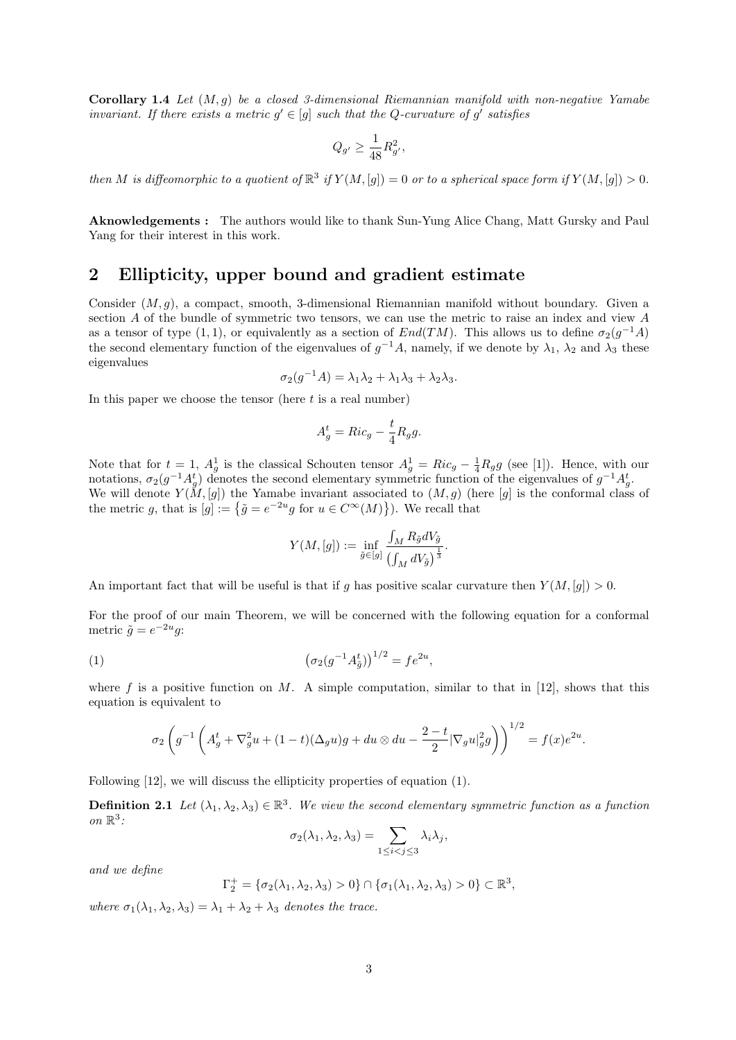Corollary 1.4 Let  $(M, g)$  be a closed 3-dimensional Riemannian manifold with non-negative Yamabe invariant. If there exists a metric  $g' \in [g]$  such that the Q-curvature of g' satisfies

$$
Q_{g'} \ge \frac{1}{48} R_{g'}^2,
$$

then M is diffeomorphic to a quotient of  $\mathbb{R}^3$  if  $Y(M,[g]) = 0$  or to a spherical space form if  $Y(M,[g]) > 0$ .

Aknowledgements : The authors would like to thank Sun-Yung Alice Chang, Matt Gursky and Paul Yang for their interest in this work.

### 2 Ellipticity, upper bound and gradient estimate

Consider  $(M, g)$ , a compact, smooth, 3-dimensional Riemannian manifold without boundary. Given a section A of the bundle of symmetric two tensors, we can use the metric to raise an index and view A as a tensor of type  $(1,1)$ , or equivalently as a section of  $End(TM)$ . This allows us to define  $\sigma_2(g^{-1}A)$ the second elementary function of the eigenvalues of  $g^{-1}A$ , namely, if we denote by  $\lambda_1$ ,  $\lambda_2$  and  $\lambda_3$  these eigenvalues

$$
\sigma_2(g^{-1}A) = \lambda_1\lambda_2 + \lambda_1\lambda_3 + \lambda_2\lambda_3.
$$

In this paper we choose the tensor (here  $t$  is a real number)

$$
A_g^t = Ric_g - \frac{t}{4}R_g g.
$$

Note that for  $t = 1$ ,  $A_g^1$  is the classical Schouten tensor  $A_g^1 = Ric_g - \frac{1}{4}R_g g$  (see [1]). Hence, with our notations,  $\sigma_2(g^{-1}A_g^t)$  denotes the second elementary symmetric function of the eigenvalues of  $g^{-1}A_g^t$ . We will denote  $Y(M,[g])$  the Yamabe invariant associated to  $(M,g)$  (here [g] is the conformal class of the metric g, that is  $[g] := \{ \tilde{g} = e^{-2u}g \text{ for } u \in C^{\infty}(M) \}$ . We recall that

$$
Y(M,[g]) := \inf_{\tilde{g} \in [g]} \frac{\int_M R_{\tilde{g}} dV_{\tilde{g}}}{\left(\int_M dV_{\tilde{g}}\right)^{\frac{1}{3}}}.
$$

An important fact that will be useful is that if g has positive scalar curvature then  $Y(M, [g]) > 0$ .

For the proof of our main Theorem, we will be concerned with the following equation for a conformal metric  $\tilde{g} = e^{-2u}g$ :

(1) 
$$
\left(\sigma_2(g^{-1}A_{\tilde{g}}^t)\right)^{1/2} = fe^{2u},
$$

where f is a positive function on M. A simple computation, similar to that in [12], shows that this equation is equivalent to

$$
\sigma_2 \left( g^{-1} \left( A_g^t + \nabla_g^2 u + (1-t)(\Delta_g u)g + du \otimes du - \frac{2-t}{2} |\nabla_g u|_g^2 g \right) \right)^{1/2} = f(x) e^{2u}.
$$

Following [12], we will discuss the ellipticity properties of equation (1).

**Definition 2.1** Let  $(\lambda_1, \lambda_2, \lambda_3) \in \mathbb{R}^3$ . We view the second elementary symmetric function as a function on  $\mathbb{R}^3$ :

$$
\sigma_2(\lambda_1, \lambda_2, \lambda_3) = \sum_{1 \leq i < j \leq 3} \lambda_i \lambda_j,
$$

and we define

$$
\Gamma_2^+ = \{ \sigma_2(\lambda_1, \lambda_2, \lambda_3) > 0 \} \cap \{ \sigma_1(\lambda_1, \lambda_2, \lambda_3) > 0 \} \subset \mathbb{R}^3
$$

where  $\sigma_1(\lambda_1, \lambda_2, \lambda_3) = \lambda_1 + \lambda_2 + \lambda_3$  denotes the trace.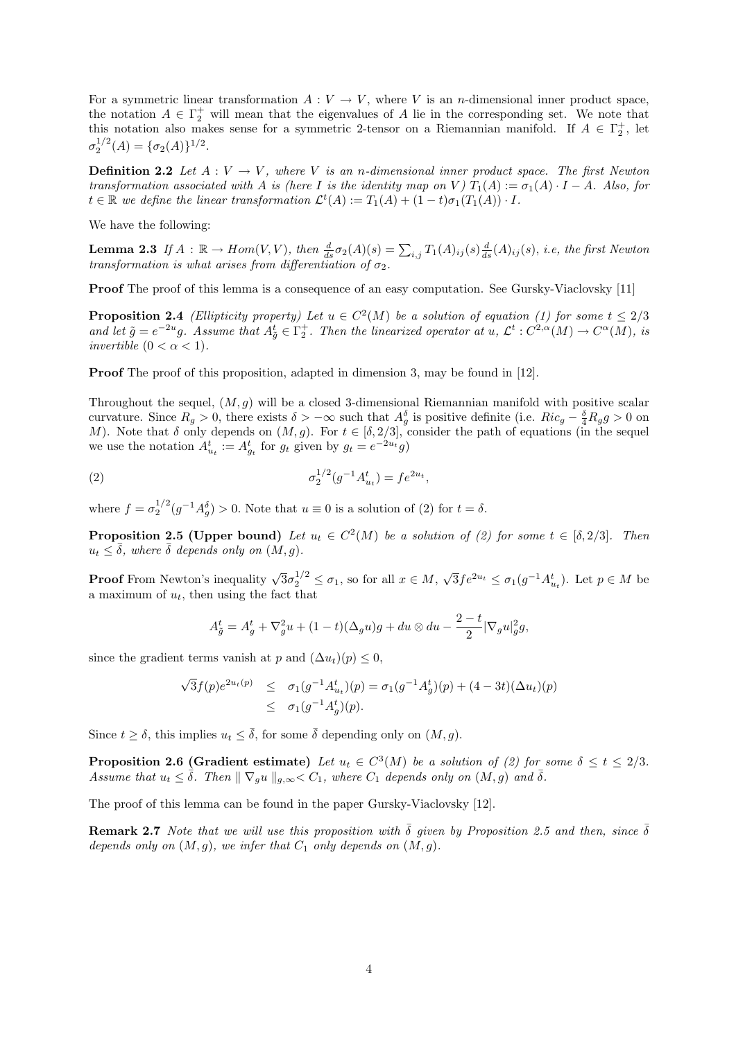For a symmetric linear transformation  $A: V \to V$ , where V is an *n*-dimensional inner product space, the notation  $A \in \Gamma_2^+$  will mean that the eigenvalues of A lie in the corresponding set. We note that this notation also makes sense for a symmetric 2-tensor on a Riemannian manifold. If  $A \in \Gamma_2^+$ , let  $\sigma_2^{1/2}(A) = {\sigma_2(A)}^{1/2}.$ 

**Definition 2.2** Let  $A: V \to V$ , where V is an n-dimensional inner product space. The first Newton transformation associated with A is (here I is the identity map on V)  $T_1(A) := \sigma_1(A) \cdot I - A$ . Also, for  $t \in \mathbb{R}$  we define the linear transformation  $\mathcal{L}^t(A) := T_1(A) + (1-t)\overline{\sigma_1}(T_1(A)) \cdot I$ .

We have the following:

**Lemma 2.3** If  $A : \mathbb{R} \to Hom(V, V)$ , then  $\frac{d}{ds} \sigma_2(A)(s) = \sum_{i,j} T_1(A)_{ij}(s) \frac{d}{ds}(A)_{ij}(s)$ , i.e, the first Newton transformation is what arises from differentiation of  $\sigma_2$ .

Proof The proof of this lemma is a consequence of an easy computation. See Gursky-Viaclovsky [11]

**Proposition 2.4** (Ellipticity property) Let  $u \in C^2(M)$  be a solution of equation (1) for some  $t \leq 2/3$ and let  $\tilde{g} = e^{-2u}g$ . Assume that  $A_{\tilde{g}}^t \in \Gamma_2^+$ . Then the linearized operator at  $u, \mathcal{L}^t : C^{2,\alpha}(M) \to C^{\alpha}(M)$ , is invertible  $(0 < \alpha < 1)$ .

**Proof** The proof of this proposition, adapted in dimension 3, may be found in [12].

Throughout the sequel,  $(M, g)$  will be a closed 3-dimensional Riemannian manifold with positive scalar curvature. Since  $R_g > 0$ , there exists  $\delta > -\infty$  such that  $A_g^{\delta}$  is positive definite (i.e.  $Ric_g - \frac{\delta}{4}R_g g > 0$  on M). Note that  $\delta$  only depends on  $(M, g)$ . For  $t \in [\delta, 2/3]$ , consider the path of equations (in the sequel we use the notation  $A_{u_t}^t := A_{g_t}^t$  for  $g_t$  given by  $g_t = e^{-2u_t}g$ 

(2) 
$$
\sigma_2^{1/2}(g^{-1}A_{u_t}^t) = fe^{2u_t},
$$

where  $f = \sigma_2^{1/2} (g^{-1} A_g^{\delta}) > 0$ . Note that  $u \equiv 0$  is a solution of (2) for  $t = \delta$ .

**Proposition 2.5 (Upper bound)** Let  $u_t \in C^2(M)$  be a solution of (2) for some  $t \in [\delta, 2/3]$ . Then  $u_t \leq \overline{\delta}$ , where  $\overline{\delta}$  depends only on  $(M, g)$ .

**Proof** From Newton's inequality  $\sqrt{3}\sigma_2^{1/2} \leq \sigma_1$ , so for all  $x \in M$ ,  $\sqrt{3} f e^{2u_t} \leq \sigma_1(g^{-1} A_{u_t}^t)$ . Let  $p \in M$  be a maximum of  $u_t$ , then using the fact that

$$
A_{\tilde{g}}^t = A_g^t + \nabla_g^2 u + (1-t)(\Delta_g u)g + du \otimes du - \frac{2-t}{2} |\nabla_g u|_g^2 g,
$$

since the gradient terms vanish at p and  $(\Delta u_t)(p) \leq 0$ ,

$$
\sqrt{3}f(p)e^{2u_t(p)} \leq \sigma_1(g^{-1}A_{u_t}^t)(p) = \sigma_1(g^{-1}A_g^t)(p) + (4-3t)(\Delta u_t)(p)
$$
  
 
$$
\leq \sigma_1(g^{-1}A_g^t)(p).
$$

Since  $t \geq \delta$ , this implies  $u_t \leq \overline{\delta}$ , for some  $\overline{\delta}$  depending only on  $(M, g)$ .

**Proposition 2.6 (Gradient estimate)** Let  $u_t \in C^3(M)$  be a solution of (2) for some  $\delta \le t \le 2/3$ . Assume that  $u_t \leq \overline{\delta}$ . Then  $\|\nabla_g u\|_{g,\infty} < C_1$ , where  $C_1$  depends only on  $(M, g)$  and  $\overline{\delta}$ .

The proof of this lemma can be found in the paper Gursky-Viaclovsky [12].

**Remark 2.7** Note that we will use this proposition with  $\bar{\delta}$  given by Proposition 2.5 and then, since  $\bar{\delta}$ depends only on  $(M, g)$ , we infer that  $C_1$  only depends on  $(M, g)$ .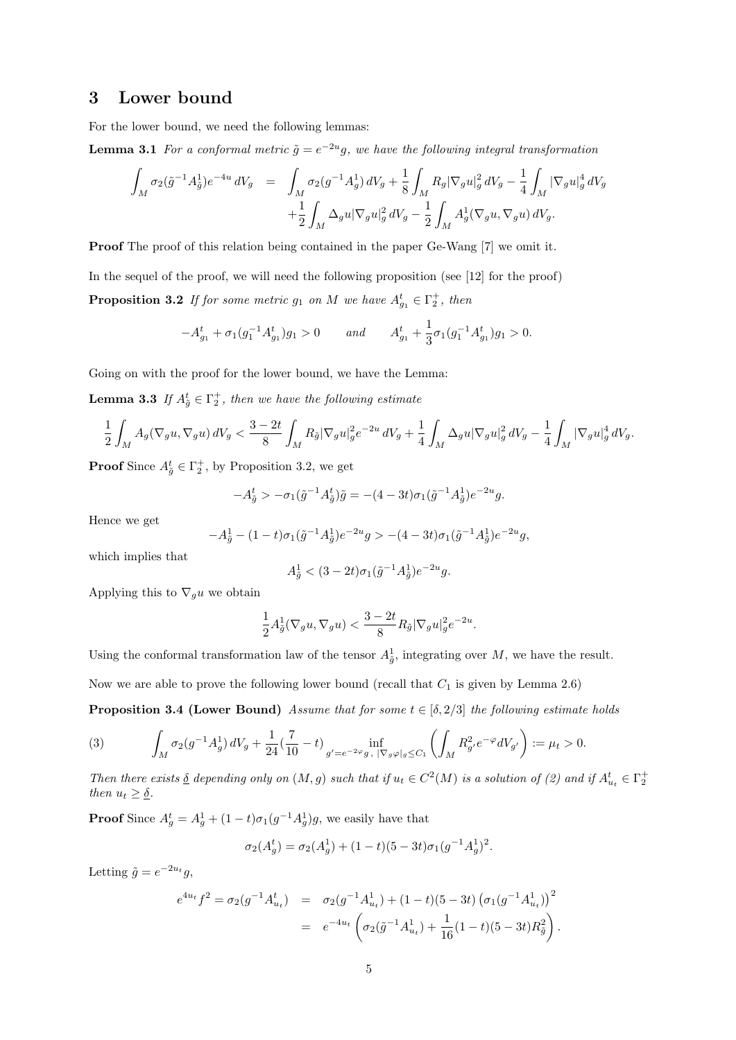# 3 Lower bound

For the lower bound, we need the following lemmas:

**Lemma 3.1** For a conformal metric  $\tilde{g} = e^{-2u}g$ , we have the following integral transformation

$$
\int_{M} \sigma_{2}(\tilde{g}^{-1}A_{\tilde{g}}^{1})e^{-4u} dV_{g} = \int_{M} \sigma_{2}(g^{-1}A_{g}^{1}) dV_{g} + \frac{1}{8} \int_{M} R_{g} |\nabla_{g} u|_{g}^{2} dV_{g} - \frac{1}{4} \int_{M} |\nabla_{g} u|_{g}^{4} dV_{g} \n+ \frac{1}{2} \int_{M} \Delta_{g} u |\nabla_{g} u|_{g}^{2} dV_{g} - \frac{1}{2} \int_{M} A_{g}^{1} (\nabla_{g} u, \nabla_{g} u) dV_{g}.
$$

Proof The proof of this relation being contained in the paper Ge-Wang [7] we omit it.

In the sequel of the proof, we will need the following proposition (see [12] for the proof) **Proposition 3.2** If for some metric  $g_1$  on M we have  $A_{g_1}^t \in \Gamma_2^+$ , then

$$
-A_{g_1}^t + \sigma_1(g_1^{-1}A_{g_1}^t)g_1 > 0 \qquad and \qquad A_{g_1}^t + \frac{1}{3}\sigma_1(g_1^{-1}A_{g_1}^t)g_1 > 0.
$$

Going on with the proof for the lower bound, we have the Lemma:

**Lemma 3.3** If  $A_{\tilde{g}}^t \in \Gamma_2^+$ , then we have the following estimate

$$
\frac{1}{2}\int_{M}A_g(\nabla_g u, \nabla_g u) dV_g < \frac{3-2t}{8}\int_{M}R_{\tilde{g}}|\nabla_g u|_g^2 e^{-2u} dV_g + \frac{1}{4}\int_{M}\Delta_g u |\nabla_g u|_g^2 dV_g - \frac{1}{4}\int_{M}|\nabla_g u|_g^4 dV_g.
$$

**Proof** Since  $A_{\tilde{g}}^t \in \Gamma_2^+$ , by Proposition 3.2, we get

$$
-A_{\tilde{g}}^{t} > -\sigma_1(\tilde{g}^{-1}A_{\tilde{g}}^{t})\tilde{g} = -(4-3t)\sigma_1(\tilde{g}^{-1}A_{\tilde{g}}^{1})e^{-2u}g.
$$

Hence we get

$$
-A_{\tilde{g}}^{1} - (1-t)\sigma_{1}(\tilde{g}^{-1}A_{\tilde{g}}^{1})e^{-2u}g > -(4-3t)\sigma_{1}(\tilde{g}^{-1}A_{\tilde{g}}^{1})e^{-2u}g,
$$

which implies that

$$
A_{\tilde{g}}^{1} < (3 - 2t)\sigma_{1}(\tilde{g}^{-1}A_{\tilde{g}}^{1})e^{-2u}g.
$$

Applying this to  $\nabla_g u$  we obtain

$$
\frac{1}{2}A_{\tilde{g}}^1(\nabla_g u, \nabla_g u) < \frac{3-2t}{8}R_{\tilde{g}}|\nabla_g u|_g^2 e^{-2u}.
$$

Using the conformal transformation law of the tensor  $A_{\tilde{g}}^1$ , integrating over M, we have the result.

Now we are able to prove the following lower bound (recall that  $C_1$  is given by Lemma 2.6)

**Proposition 3.4 (Lower Bound)** Assume that for some  $t \in [\delta, 2/3]$  the following estimate holds

(3) 
$$
\int_M \sigma_2(g^{-1}A_g^1) dV_g + \frac{1}{24} (\frac{7}{10} - t)_{g' = e^{-2\varphi}g, \ |\nabla_g \varphi|_g \le C_1} \left( \int_M R_{g'}^2 e^{-\varphi} dV_{g'} \right) := \mu_t > 0.
$$

Then there exists  $\delta$  depending only on  $(M, g)$  such that if  $u_t \in C^2(M)$  is a solution of (2) and if  $A_{u_t}^t \in \Gamma_2^+$ then  $u_t \geq \underline{\delta}$ .

**Proof** Since  $A_g^t = A_g^1 + (1-t)\sigma_1(g^{-1}A_g^1)g$ , we easily have that

$$
\sigma_2(A_g^t) = \sigma_2(A_g^1) + (1-t)(5-3t)\sigma_1(g^{-1}A_g^1)^2.
$$

Letting  $\tilde{g} = e^{-2u_t}g$ ,

$$
e^{4u_t} f^2 = \sigma_2(g^{-1} A_{u_t}^t) = \sigma_2(g^{-1} A_{u_t}^1) + (1 - t)(5 - 3t) (\sigma_1(g^{-1} A_{u_t}^1))^2
$$
  
= 
$$
e^{-4u_t} \left( \sigma_2(\tilde{g}^{-1} A_{u_t}^1) + \frac{1}{16} (1 - t)(5 - 3t) R_{\tilde{g}}^2 \right).
$$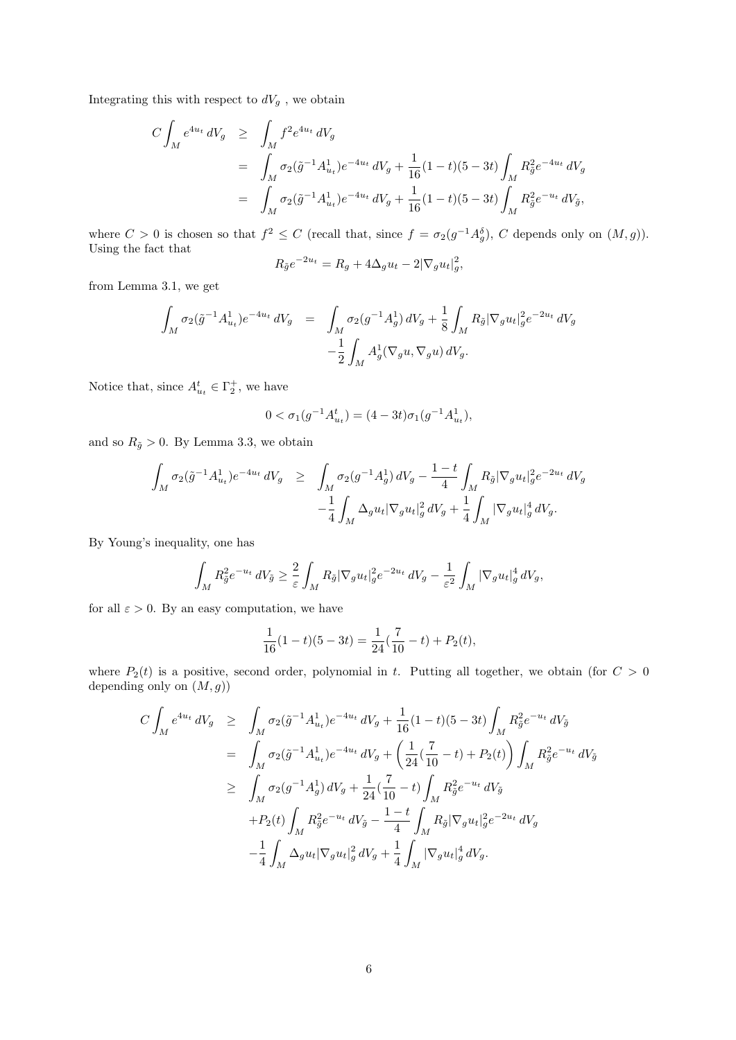Integrating this with respect to  $dV_g$  , we obtain

$$
C \int_M e^{4u_t} dV_g \ge \int_M f^2 e^{4u_t} dV_g
$$
  
= 
$$
\int_M \sigma_2(\tilde{g}^{-1} A^1_{u_t}) e^{-4u_t} dV_g + \frac{1}{16} (1-t)(5-3t) \int_M R_{\tilde{g}}^2 e^{-4u_t} dV_g
$$
  
= 
$$
\int_M \sigma_2(\tilde{g}^{-1} A^1_{u_t}) e^{-4u_t} dV_g + \frac{1}{16} (1-t)(5-3t) \int_M R_{\tilde{g}}^2 e^{-u_t} dV_{\tilde{g}},
$$

where  $C > 0$  is chosen so that  $f^2 \leq C$  (recall that, since  $f = \sigma_2(g^{-1}A_g^{\delta})$ , C depends only on  $(M, g)$ ). Using the fact that

$$
R_{\tilde{g}}e^{-2u_t} = R_g + 4\Delta_g u_t - 2|\nabla_g u_t|_g^2,
$$

from Lemma 3.1, we get

$$
\int_{M} \sigma_{2}(\tilde{g}^{-1}A_{u_{t}}^{1})e^{-4u_{t}} dV_{g} = \int_{M} \sigma_{2}(g^{-1}A_{g}^{1}) dV_{g} + \frac{1}{8} \int_{M} R_{\tilde{g}} |\nabla_{g}u_{t}|_{g}^{2} e^{-2u_{t}} dV_{g}
$$

$$
-\frac{1}{2} \int_{M} A_{g}^{1}(\nabla_{g}u, \nabla_{g}u) dV_{g}.
$$

Notice that, since  $A_{u_t}^t \in \Gamma_2^+$ , we have

$$
0 < \sigma_1(g^{-1}A_{u_t}^t) = (4 - 3t)\sigma_1(g^{-1}A_{u_t}^1),
$$

and so  $R_{\tilde{g}} > 0$ . By Lemma 3.3, we obtain

$$
\int_{M} \sigma_{2}(\tilde{g}^{-1}A_{u_{t}}^{1})e^{-4u_{t}} dV_{g} \geq \int_{M} \sigma_{2}(g^{-1}A_{g}^{1}) dV_{g} - \frac{1-t}{4} \int_{M} R_{\tilde{g}} |\nabla_{g} u_{t}|_{g}^{2} e^{-2u_{t}} dV_{g}
$$

$$
- \frac{1}{4} \int_{M} \Delta_{g} u_{t} |\nabla_{g} u_{t}|_{g}^{2} dV_{g} + \frac{1}{4} \int_{M} |\nabla_{g} u_{t}|_{g}^{4} dV_{g}.
$$

By Young's inequality, one has

$$
\int_M R_{\tilde{g}}^2 e^{-u_t} dV_{\tilde{g}} \ge \frac{2}{\varepsilon} \int_M R_{\tilde{g}} |\nabla_g u_t|_g^2 e^{-2u_t} dV_g - \frac{1}{\varepsilon^2} \int_M |\nabla_g u_t|_g^4 dV_g,
$$

for all  $\varepsilon > 0$ . By an easy computation, we have

$$
\frac{1}{16}(1-t)(5-3t) = \frac{1}{24}(\frac{7}{10}-t) + P_2(t),
$$

where  $P_2(t)$  is a positive, second order, polynomial in t. Putting all together, we obtain (for  $C > 0$ depending only on  $(M, g)$ 

$$
C \int_{M} e^{4u_{t}} dV_{g} \geq \int_{M} \sigma_{2}(\tilde{g}^{-1} A_{u_{t}}^{1}) e^{-4u_{t}} dV_{g} + \frac{1}{16} (1 - t)(5 - 3t) \int_{M} R_{\tilde{g}}^{2} e^{-u_{t}} dV_{\tilde{g}}
$$
  
\n
$$
= \int_{M} \sigma_{2}(\tilde{g}^{-1} A_{u_{t}}^{1}) e^{-4u_{t}} dV_{g} + \left( \frac{1}{24} (\frac{7}{10} - t) + P_{2}(t) \right) \int_{M} R_{\tilde{g}}^{2} e^{-u_{t}} dV_{\tilde{g}}
$$
  
\n
$$
\geq \int_{M} \sigma_{2}({g}^{-1} A_{g}^{1}) dV_{g} + \frac{1}{24} (\frac{7}{10} - t) \int_{M} R_{\tilde{g}}^{2} e^{-u_{t}} dV_{\tilde{g}}
$$
  
\n
$$
+ P_{2}(t) \int_{M} R_{\tilde{g}}^{2} e^{-u_{t}} dV_{\tilde{g}} - \frac{1 - t}{4} \int_{M} R_{\tilde{g}} |\nabla_{g} u_{t}|_{g}^{2} e^{-2u_{t}} dV_{g}
$$
  
\n
$$
- \frac{1}{4} \int_{M} \Delta_{g} u_{t} |\nabla_{g} u_{t}|_{g}^{2} dV_{g} + \frac{1}{4} \int_{M} |\nabla_{g} u_{t}|_{g}^{4} dV_{g}.
$$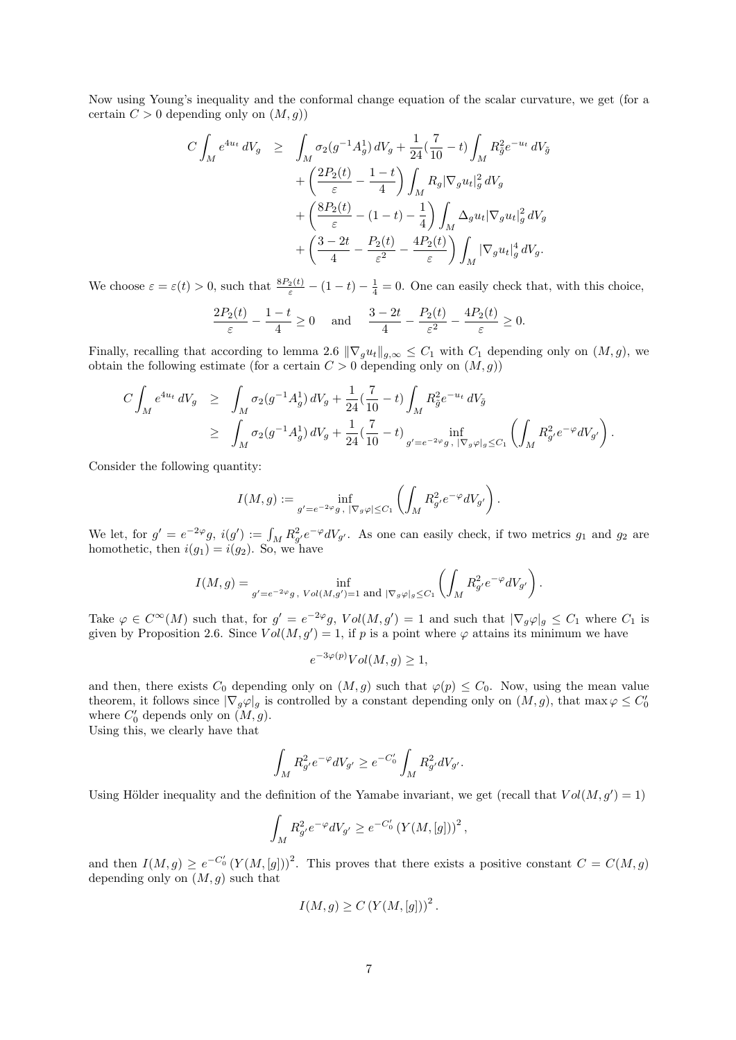Now using Young's inequality and the conformal change equation of the scalar curvature, we get (for a certain  $C > 0$  depending only on  $(M, g)$ 

$$
C \int_M e^{4u_t} dV_g \geq \int_M \sigma_2(g^{-1}A_g^1) dV_g + \frac{1}{24} (\frac{7}{10} - t) \int_M R_g^2 e^{-u_t} dV_{\tilde{g}}
$$
  
+ 
$$
\left(\frac{2P_2(t)}{\varepsilon} - \frac{1-t}{4}\right) \int_M R_g |\nabla_g u_t|_g^2 dV_g
$$
  
+ 
$$
\left(\frac{8P_2(t)}{\varepsilon} - (1-t) - \frac{1}{4}\right) \int_M \Delta_g u_t |\nabla_g u_t|_g^2 dV_g
$$
  
+ 
$$
\left(\frac{3-2t}{4} - \frac{P_2(t)}{\varepsilon^2} - \frac{4P_2(t)}{\varepsilon}\right) \int_M |\nabla_g u_t|_g^4 dV_g.
$$

We choose  $\varepsilon = \varepsilon(t) > 0$ , such that  $\frac{8P_2(t)}{\varepsilon} - (1-t) - \frac{1}{4} = 0$ . One can easily check that, with this choice,

$$
\frac{2P_2(t)}{\varepsilon} - \frac{1-t}{4} \ge 0 \quad \text{and} \quad \frac{3-2t}{4} - \frac{P_2(t)}{\varepsilon^2} - \frac{4P_2(t)}{\varepsilon} \ge 0.
$$

Finally, recalling that according to lemma 2.6  $\|\nabla_g u_t\|_{g,\infty} \leq C_1$  with  $C_1$  depending only on  $(M, g)$ , we obtain the following estimate (for a certain  $C > 0$  depending only on  $(M, g)$ )

$$
C \int_M e^{4u_t} dV_g \ge \int_M \sigma_2(g^{-1}A_g^1) dV_g + \frac{1}{24} (\frac{7}{10} - t) \int_M R_{\tilde{g}}^2 e^{-u_t} dV_{\tilde{g}}
$$
  
 
$$
\ge \int_M \sigma_2(g^{-1}A_g^1) dV_g + \frac{1}{24} (\frac{7}{10} - t) \int_{g'=e^{-2\varphi}g, |\nabla_g \varphi|_g \le C_1} \left( \int_M R_{g'}^2 e^{-\varphi} dV_{g'} \right).
$$

Consider the following quantity:

$$
I(M,g) := \inf_{g' = e^{-2\varphi}g, \ |\nabla_g \varphi| \leq C_1} \left( \int_M R_{g'}^2 e^{-\varphi} dV_{g'} \right).
$$

We let, for  $g' = e^{-2\varphi}g$ ,  $i(g') := \int_M R_{g'}^2 e^{-\varphi} dV_{g'}$ . As one can easily check, if two metrics  $g_1$  and  $g_2$  are homothetic, then  $i(g_1) = i(g_2)$ . So, we have

$$
I(M,g) = \inf_{g'=e^{-2\varphi}g, \ Vol(M,g')=1 \text{ and } |\nabla_g \varphi|_g \leq C_1} \left( \int_M R_{g'}^2 e^{-\varphi} dV_{g'} \right).
$$

Take  $\varphi \in C^{\infty}(M)$  such that, for  $g' = e^{-2\varphi}g$ ,  $Vol(M, g') = 1$  and such that  $|\nabla_g \varphi|_g \leq C_1$  where  $C_1$  is given by Proposition 2.6. Since  $Vol(M, g') = 1$ , if p is a point where  $\varphi$  attains its minimum we have

$$
e^{-3\varphi(p)}Vol(M, g) \ge 1,
$$

and then, there exists  $C_0$  depending only on  $(M, g)$  such that  $\varphi(p) \leq C_0$ . Now, using the mean value theorem, it follows since  $|\nabla_g \varphi|_g$  is controlled by a constant depending only on  $(M, g)$ , that max  $\varphi \leq C'_0$ where  $C'_0$  depends only on  $(M, g)$ .

Using this, we clearly have that

$$
\int_M R_{g'}^2 e^{-\varphi} dV_{g'} \ge e^{-C_0'} \int_M R_{g'}^2 dV_{g'}.
$$

Using Hölder inequality and the definition of the Yamabe invariant, we get (recall that  $Vol(M, g') = 1$ )

$$
\int_M R_{g'}^2 e^{-\varphi} dV_{g'} \ge e^{-C'_0} \left(Y(M,[g])\right)^2,
$$

and then  $I(M,g) \geq e^{-C_0'} (Y(M,[g]))^2$ . This proves that there exists a positive constant  $C = C(M,g)$ depending only on  $(M, g)$  such that

$$
I(M, g) \ge C \left( Y(M, [g]) \right)^2
$$

.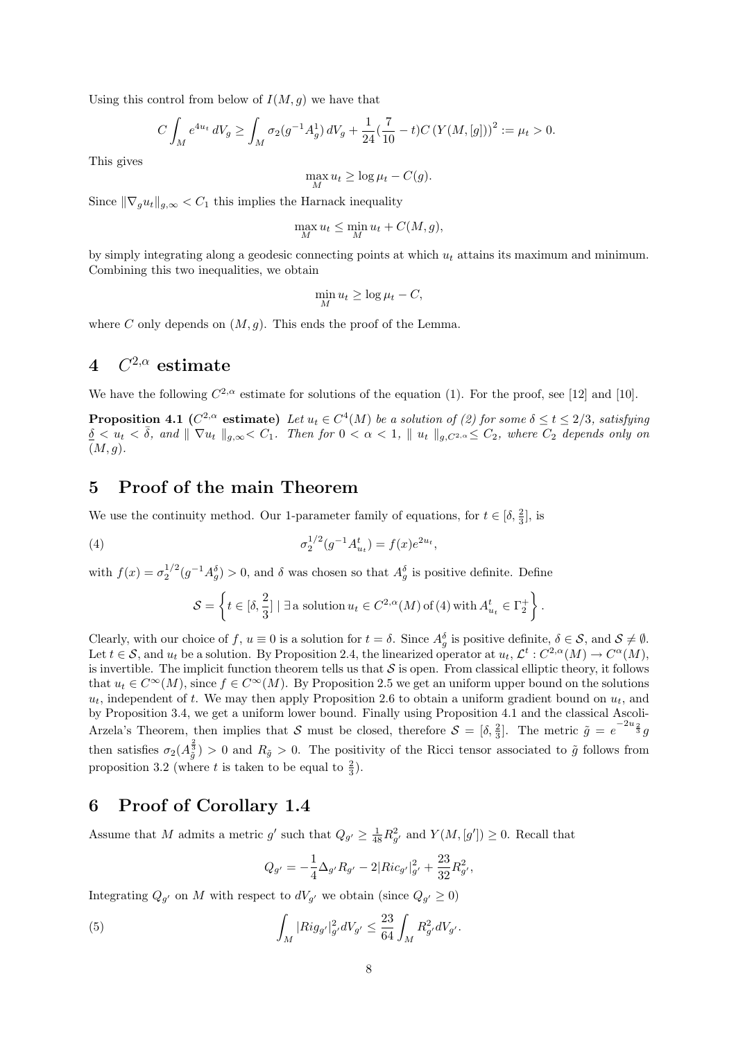Using this control from below of  $I(M, g)$  we have that

$$
C \int_M e^{4u_t} dV_g \ge \int_M \sigma_2(g^{-1}A_g^1) dV_g + \frac{1}{24} (\frac{7}{10} - t) C \left( Y(M, [g]) \right)^2 := \mu_t > 0.
$$

This gives

$$
\max_{M} u_t \ge \log \mu_t - C(g).
$$

Since  $\|\nabla_q u_t\|_{q,\infty} < C_1$  this implies the Harnack inequality

$$
\max_{M} u_t \le \min_{M} u_t + C(M, g),
$$

by simply integrating along a geodesic connecting points at which  $u_t$  attains its maximum and minimum. Combining this two inequalities, we obtain

$$
\min_{M} u_t \ge \log \mu_t - C,
$$

where C only depends on  $(M, q)$ . This ends the proof of the Lemma.

# $4\quad C^{2,\alpha} \text{ estimate}$

We have the following  $C^{2,\alpha}$  estimate for solutions of the equation (1). For the proof, see [12] and [10].

**Proposition 4.1** ( $C^{2,\alpha}$  estimate) Let  $u_t \in C^4(M)$  be a solution of (2) for some  $\delta \le t \le 2/3$ , satisfying  $\delta \langle u_t \rangle \langle \bar{\delta}, \text{ and } \| \nabla u_t \|_{g,\infty} \langle C_1. \text{ Then for } 0 \langle \bar{\alpha} \rangle \langle 1, \| u_t \|_{g,C^2} \rangle \leq C_2, \text{ where } C_2 \text{ depends only on } \delta.$  $(M, g).$ 

### 5 Proof of the main Theorem

We use the continuity method. Our 1-parameter family of equations, for  $t \in [\delta, \frac{2}{3}]$ , is

(4) 
$$
\sigma_2^{1/2}(g^{-1}A_{u_t}^t) = f(x)e^{2u_t},
$$

with  $f(x) = \sigma_2^{1/2} (g^{-1} A_g^{\delta}) > 0$ , and  $\delta$  was chosen so that  $A_g^{\delta}$  is positive definite. Define

$$
\mathcal{S} = \left\{ t \in [\delta, \frac{2}{3}] \mid \exists \text{ a solution } u_t \in C^{2,\alpha}(M) \text{ of (4) with } A^t_{u_t} \in \Gamma_2^+ \right\}.
$$

Clearly, with our choice of f,  $u \equiv 0$  is a solution for  $t = \delta$ . Since  $A_g^{\delta}$  is positive definite,  $\delta \in \mathcal{S}$ , and  $\mathcal{S} \neq \emptyset$ . Let  $t \in \mathcal{S}$ , and  $u_t$  be a solution. By Proposition 2.4, the linearized operator at  $u_t, \mathcal{L}^t : C^{2,\alpha}(M) \to C^{\alpha}(M)$ , is invertible. The implicit function theorem tells us that  $S$  is open. From classical elliptic theory, it follows that  $u_t \in C^{\infty}(M)$ , since  $f \in C^{\infty}(M)$ . By Proposition 2.5 we get an uniform upper bound on the solutions  $u_t$ , independent of t. We may then apply Proposition 2.6 to obtain a uniform gradient bound on  $u_t$ , and by Proposition 3.4, we get a uniform lower bound. Finally using Proposition 4.1 and the classical Ascoli-Arzela's Theorem, then implies that S must be closed, therefore  $S = [\delta, \frac{2}{3}]$ . The metric  $\tilde{g} = e^{-2u_{\frac{2}{3}}}g$ then satisfies  $\sigma_2(A_{\tilde{g}}^{\frac{2}{3}}) > 0$  and  $R_{\tilde{g}} > 0$ . The positivity of the Ricci tensor associated to  $\tilde{g}$  follows from proposition 3.2 (where t is taken to be equal to  $\frac{2}{3}$ ).

# 6 Proof of Corollary 1.4

Assume that M admits a metric g' such that  $Q_{g'} \geq \frac{1}{48}R_{g'}^2$  and  $Y(M,[g']) \geq 0$ . Recall that

$$
Q_{g'} = -\frac{1}{4}\Delta_{g'}R_{g'} - 2|Ric_{g'}|_{g'}^2 + \frac{23}{32}R_{g'}^2,
$$

Integrating  $Q_{g'}$  on M with respect to  $dV_{g'}$  we obtain (since  $Q_{g'} \geq 0$ )

(5) 
$$
\int_M |Rig_{g'}|_{g'}^2 dV_{g'} \leq \frac{23}{64} \int_M R_{g'}^2 dV_{g'}.
$$